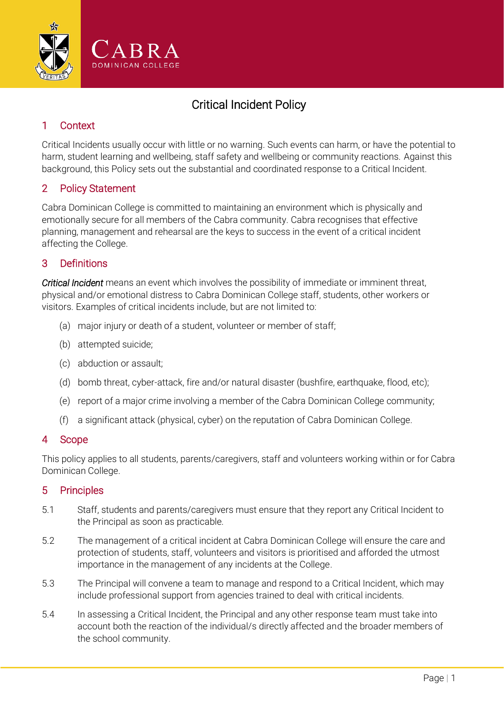

# Critical Incident Policy

## 1 Context

Critical Incidents usually occur with little or no warning. Such events can harm, or have the potential to harm, student learning and wellbeing, staff safety and wellbeing or community reactions. Against this background, this Policy sets out the substantial and coordinated response to a Critical Incident.

## 2 Policy Statement

Cabra Dominican College is committed to maintaining an environment which is physically and emotionally secure for all members of the Cabra community. Cabra recognises that effective planning, management and rehearsal are the keys to success in the event of a critical incident affecting the College.

## 3 Definitions

*Critical Incident* means an event which involves the possibility of immediate or imminent threat, physical and/or emotional distress to Cabra Dominican College staff, students, other workers or visitors. Examples of critical incidents include, but are not limited to:

- (a) major injury or death of a student, volunteer or member of staff;
- (b) attempted suicide;
- (c) abduction or assault;
- (d) bomb threat, cyber-attack, fire and/or natural disaster (bushfire, earthquake, flood, etc);
- (e) report of a major crime involving a member of the Cabra Dominican College community;
- (f) a significant attack (physical, cyber) on the reputation of Cabra Dominican College.

#### 4 Scope

This policy applies to all students, parents/caregivers, staff and volunteers working within or for Cabra Dominican College.

#### 5 Principles

- 5.1 Staff, students and parents/caregivers must ensure that they report any Critical Incident to the Principal as soon as practicable.
- 5.2 The management of a critical incident at Cabra Dominican College will ensure the care and protection of students, staff, volunteers and visitors is prioritised and afforded the utmost importance in the management of any incidents at the College.
- 5.3 The Principal will convene a team to manage and respond to a Critical Incident, which may include professional support from agencies trained to deal with critical incidents.
- <span id="page-0-0"></span>5.4 In assessing a Critical Incident, the Principal and any other response team must take into account both the reaction of the individual/s directly affected and the broader members of the school community.